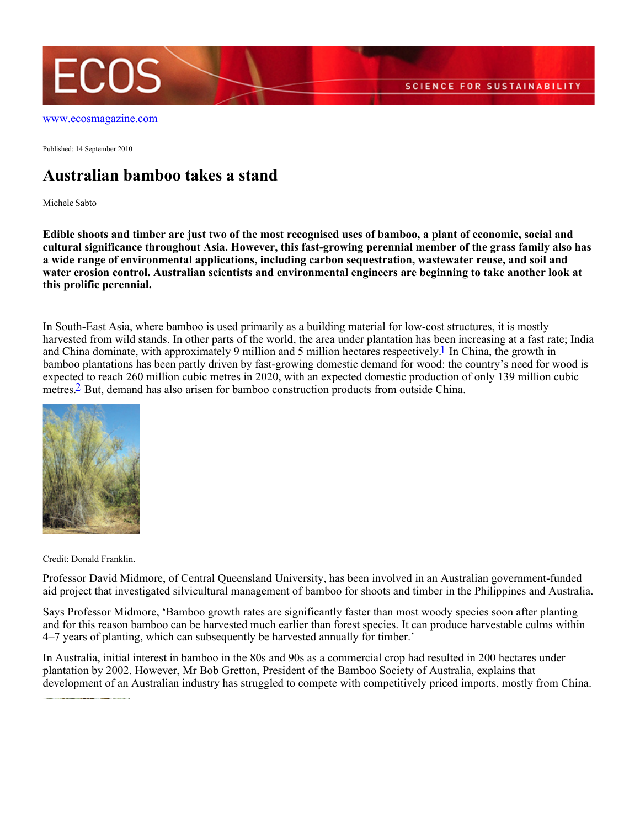

[www.ecosmagazine.com](http://www.ecosmagazine.com)

Published: 14 September 2010

## **Australian bamboo takes a stand**

Michele Sabto

**Edible shoots and timber are just two of the most recognised uses of bamboo, a plant of economic, social and cultural significance throughout Asia. However, this fast-growing perennial member of the grass family also has a wide range of environmental applications, including carbon sequestration, wastewater reuse, and soil and water erosion control. Australian scientists and environmental engineers are beginning to take another look at this prolific perennial.**

In South-East Asia, where bamboo is used primarily as a building material for low-cost structures, it is mostly harvested from wild stands. In other parts of the world, the area under plantation has been increasing at a fast rate; India and China dominate, with approximately 9 million and 5 million hectares respectively.<sup>1</sup> In China, the growth in bamboo plantations has been partly driven by fast-growing domestic demand for wood: the country's need for wood is expected to reach 260 million cubic metres in 2020, with an expected domestic production of only 139 million cubic metres.2 But, demand has also arisen for bamboo construction products from outside China.



Credit: Donald Franklin.

Professor David Midmore, of Central Queensland University, has been involved in an Australian government-funded aid project that investigated silvicultural management of bamboo for shoots and timber in the Philippines and Australia.

Says Professor Midmore, 'Bamboo growth rates are significantly faster than most woody species soon after planting and for this reason bamboo can be harvested much earlier than forest species. It can produce harvestable culms within 4–7 years of planting, which can subsequently be harvested annually for timber.'

In Australia, initial interest in bamboo in the 80s and 90s as a commercial crop had resulted in 200 hectares under plantation by 2002. However, Mr Bob Gretton, President of the Bamboo Society of Australia, explains that development of an Australian industry has struggled to compete with competitively priced imports, mostly from China.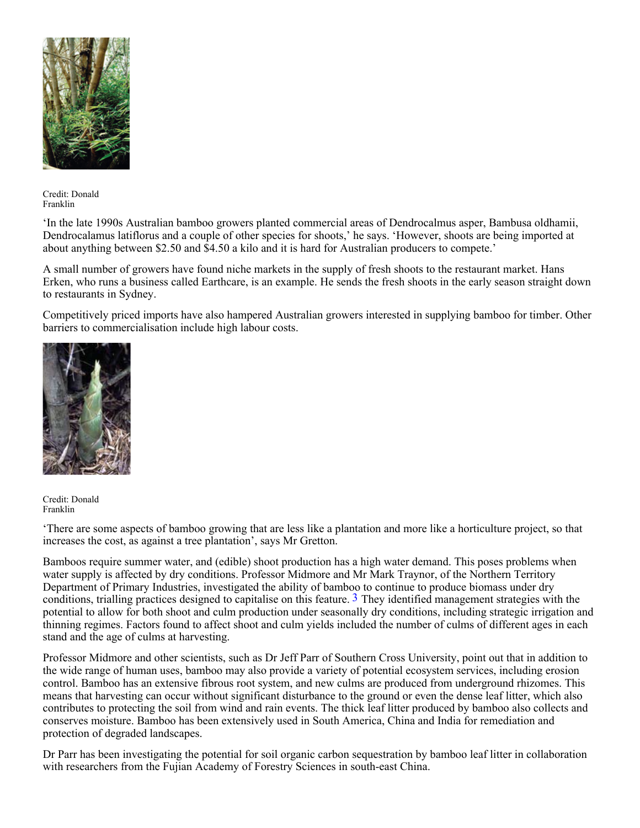

Credit: Donald Franklin

'In the late 1990s Australian bamboo growers planted commercial areas of Dendrocalmus asper, Bambusa oldhamii, Dendrocalamus latiflorus and a couple of other species for shoots,' he says. 'However, shoots are being imported at about anything between \$2.50 and \$4.50 a kilo and it is hard for Australian producers to compete.'

A small number of growers have found niche markets in the supply of fresh shoots to the restaurant market. Hans Erken, who runs a business called Earthcare, is an example. He sends the fresh shoots in the early season straight down to restaurants in Sydney.

Competitively priced imports have also hampered Australian growers interested in supplying bamboo for timber. Other barriers to commercialisation include high labour costs.



Credit: Donald Franklin

'There are some aspects of bamboo growing that are less like a plantation and more like a horticulture project, so that increases the cost, as against a tree plantation', says Mr Gretton.

Bamboos require summer water, and (edible) shoot production has a high water demand. This poses problems when water supply is affected by dry conditions. Professor Midmore and Mr Mark Traynor, of the Northern Territory Department of Primary Industries, investigated the ability of bamboo to continue to produce biomass under dry conditions, trialling practices designed to capitalise on this feature.  $\frac{3}{3}$  They identified management strategies with the potential to allow for both shoot and culm production under seasonally dry conditions, including strategic irrigation and thinning regimes. Factors found to affect shoot and culm yields included the number of culms of different ages in each stand and the age of culms at harvesting.

Professor Midmore and other scientists, such as Dr Jeff Parr of Southern Cross University, point out that in addition to the wide range of human uses, bamboo may also provide a variety of potential ecosystem services, including erosion control. Bamboo has an extensive fibrous root system, and new culms are produced from underground rhizomes. This means that harvesting can occur without significant disturbance to the ground or even the dense leaf litter, which also contributes to protecting the soil from wind and rain events. The thick leaf litter produced by bamboo also collects and conserves moisture. Bamboo has been extensively used in South America, China and India for remediation and protection of degraded landscapes.

Dr Parr has been investigating the potential for soil organic carbon sequestration by bamboo leaf litter in collaboration with researchers from the Fujian Academy of Forestry Sciences in south-east China.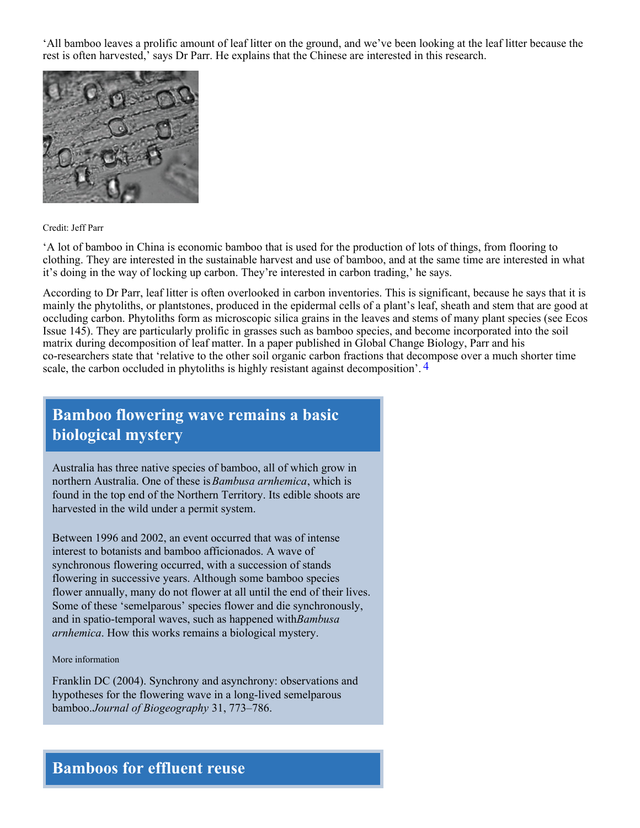'All bamboo leaves a prolific amount of leaf litter on the ground, and we've been looking at the leaf litter because the rest is often harvested,' says Dr Parr. He explains that the Chinese are interested in this research.



## Credit: Jeff Parr

'A lot of bamboo in China is economic bamboo that is used for the production of lots of things, from flooring to clothing. They are interested in the sustainable harvest and use of bamboo, and at the same time are interested in what it's doing in the way of locking up carbon. They're interested in carbon trading,' he says.

According to Dr Parr, leaf litter is often overlooked in carbon inventories. This is significant, because he says that it is mainly the phytoliths, or plantstones, produced in the epidermal cells of a plant's leaf, sheath and stem that are good at occluding carbon. Phytoliths form as microscopic silica grains in the leaves and stems of many plant species (see Ecos Issue 145). They are particularly prolific in grasses such as bamboo species, and become incorporated into the soil matrix during decomposition of leaf matter. In a paper published in Global Change Biology, Parr and his co-researchers state that 'relative to the other soil organic carbon fractions that decompose over a much shorter time scale, the carbon occluded in phytoliths is highly resistant against decomposition'. 4

## **Bamboo flowering wave remains a basic biological mystery**

Australia has three native species of bamboo, all of which grow in northern Australia. One of these is *Bambusa arnhemica*, which is found in the top end of the Northern Territory. Its edible shoots are harvested in the wild under a permit system.

Between 1996 and 2002, an event occurred that was of intense interest to botanists and bamboo afficionados. A wave of synchronous flowering occurred, with a succession of stands flowering in successive years. Although some bamboo species flower annually, many do not flower at all until the end of their lives. Some of these 'semelparous' species flower and die synchronously, and in spatio-temporal waves, such as happened with *Bambusa arnhemica*. How this works remains a biological mystery.

More information

Franklin DC (2004). Synchrony and asynchrony: observations and hypotheses for the flowering wave in a long-lived semelparous bamboo. *Journal of Biogeography* 31, 773–786.

## **Bamboos for effluent reuse**